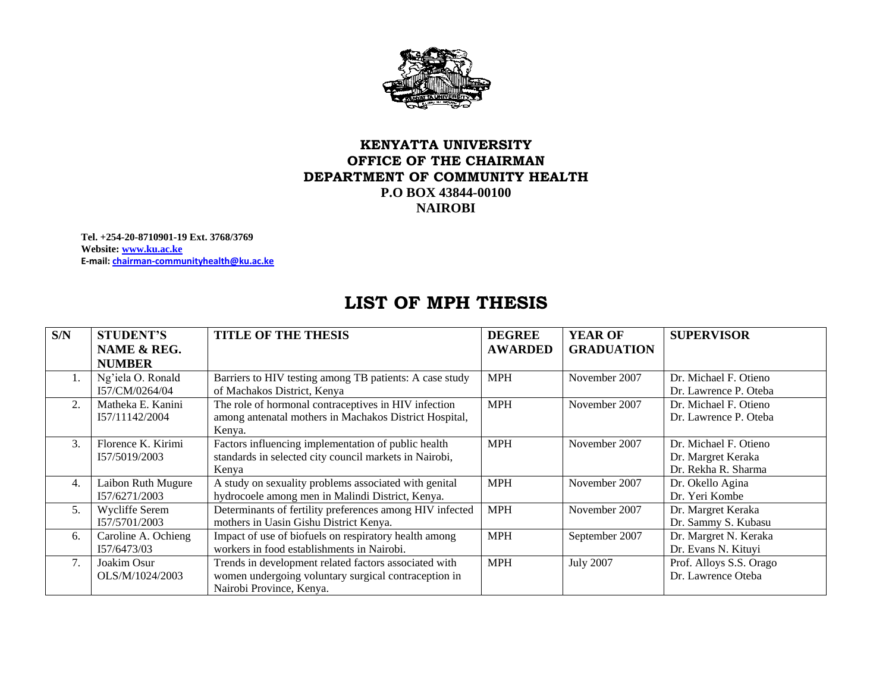

## **KENYATTA UNIVERSITY OFFICE OF THE CHAIRMAN DEPARTMENT OF COMMUNITY HEALTH P.O BOX 43844-00100 NAIROBI**

**Tel. +254-20-8710901-19 Ext. 3768/3769 Website: [www.ku.ac.ke](http://www.ku.ac.ke/) E-mail: [chairman-communityhealth@ku.ac.ke](mailto:chairman-communityhealth@ku.ac.ke)** 

## **LIST OF MPH THESIS**

| S/N         | <b>STUDENT'S</b>      | <b>TITLE OF THE THESIS</b>                               | <b>DEGREE</b>  | <b>YEAR OF</b>    | <b>SUPERVISOR</b>       |
|-------------|-----------------------|----------------------------------------------------------|----------------|-------------------|-------------------------|
|             | NAME & REG.           |                                                          | <b>AWARDED</b> | <b>GRADUATION</b> |                         |
|             | <b>NUMBER</b>         |                                                          |                |                   |                         |
| $1_{\cdot}$ | Ng'iela O. Ronald     | Barriers to HIV testing among TB patients: A case study  | <b>MPH</b>     | November 2007     | Dr. Michael F. Otieno   |
|             | I57/CM/0264/04        | of Machakos District, Kenya                              |                |                   | Dr. Lawrence P. Oteba   |
| 2.          | Matheka E. Kanini     | The role of hormonal contraceptives in HIV infection     | <b>MPH</b>     | November 2007     | Dr. Michael F. Otieno   |
|             | 157/11142/2004        | among antenatal mothers in Machakos District Hospital,   |                |                   | Dr. Lawrence P. Oteba   |
|             |                       | Kenya.                                                   |                |                   |                         |
| 3.          | Florence K. Kirimi    | Factors influencing implementation of public health      | <b>MPH</b>     | November 2007     | Dr. Michael F. Otieno   |
|             | I57/5019/2003         | standards in selected city council markets in Nairobi,   |                |                   | Dr. Margret Keraka      |
|             |                       | Kenya                                                    |                |                   | Dr. Rekha R. Sharma     |
| 4.          | Laibon Ruth Mugure    | A study on sexuality problems associated with genital    | <b>MPH</b>     | November 2007     | Dr. Okello Agina        |
|             | 157/6271/2003         | hydrocoele among men in Malindi District, Kenya.         |                |                   | Dr. Yeri Kombe          |
| 5.          | <b>Wycliffe Serem</b> | Determinants of fertility preferences among HIV infected | <b>MPH</b>     | November 2007     | Dr. Margret Keraka      |
|             | I57/5701/2003         | mothers in Uasin Gishu District Kenya.                   |                |                   | Dr. Sammy S. Kubasu     |
| 6.          | Caroline A. Ochieng   | Impact of use of biofuels on respiratory health among    | <b>MPH</b>     | September 2007    | Dr. Margret N. Keraka   |
|             | I57/6473/03           | workers in food establishments in Nairobi.               |                |                   | Dr. Evans N. Kituyi     |
| 7.          | Joakim Osur           | Trends in development related factors associated with    | <b>MPH</b>     | <b>July 2007</b>  | Prof. Alloys S.S. Orago |
|             | OLS/M/1024/2003       | women undergoing voluntary surgical contraception in     |                |                   | Dr. Lawrence Oteba      |
|             |                       | Nairobi Province, Kenya.                                 |                |                   |                         |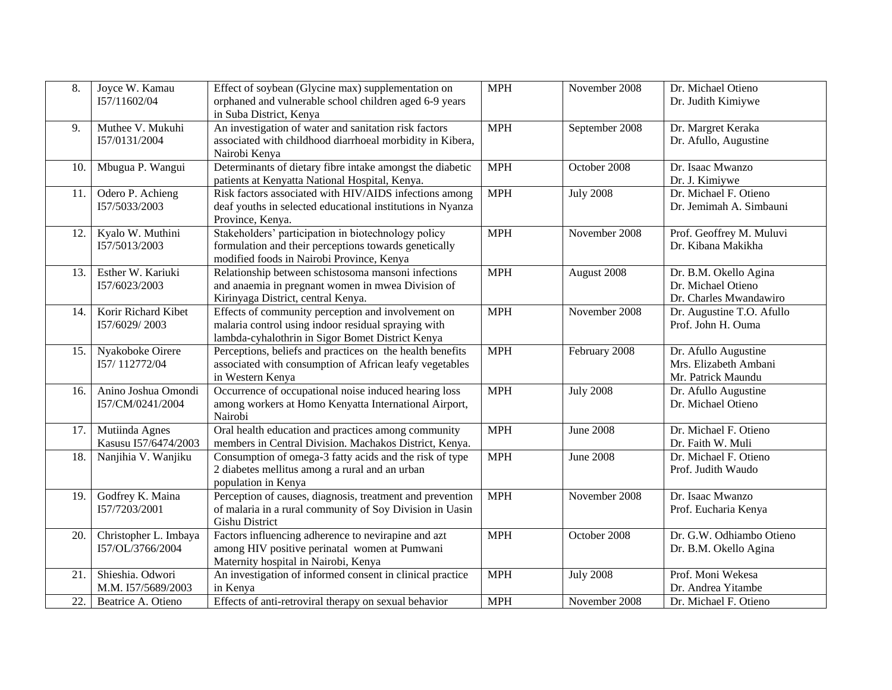| 8.  | Joyce W. Kamau<br>I57/11602/04            | Effect of soybean (Glycine max) supplementation on<br>orphaned and vulnerable school children aged 6-9 years<br>in Suba District, Kenya                       | <b>MPH</b> | November 2008    | Dr. Michael Otieno<br>Dr. Judith Kimiywe                              |
|-----|-------------------------------------------|---------------------------------------------------------------------------------------------------------------------------------------------------------------|------------|------------------|-----------------------------------------------------------------------|
| 9.  | Muthee V. Mukuhi<br>I57/0131/2004         | An investigation of water and sanitation risk factors<br>associated with childhood diarrhoeal morbidity in Kibera,<br>Nairobi Kenya                           | <b>MPH</b> | September 2008   | Dr. Margret Keraka<br>Dr. Afullo, Augustine                           |
| 10. | Mbugua P. Wangui                          | Determinants of dietary fibre intake amongst the diabetic<br>patients at Kenyatta National Hospital, Kenya.                                                   | <b>MPH</b> | October 2008     | Dr. Isaac Mwanzo<br>Dr. J. Kimiywe                                    |
| 11. | Odero P. Achieng<br>I57/5033/2003         | Risk factors associated with HIV/AIDS infections among<br>deaf youths in selected educational institutions in Nyanza<br>Province, Kenya.                      | <b>MPH</b> | <b>July 2008</b> | Dr. Michael F. Otieno<br>Dr. Jemimah A. Simbauni                      |
| 12. | Kyalo W. Muthini<br>157/5013/2003         | Stakeholders' participation in biotechnology policy<br>formulation and their perceptions towards genetically<br>modified foods in Nairobi Province, Kenya     | <b>MPH</b> | November 2008    | Prof. Geoffrey M. Muluvi<br>Dr. Kibana Makikha                        |
| 13. | Esther W. Kariuki<br>I57/6023/2003        | Relationship between schistosoma mansoni infections<br>and anaemia in pregnant women in mwea Division of<br>Kirinyaga District, central Kenya.                | <b>MPH</b> | August 2008      | Dr. B.M. Okello Agina<br>Dr. Michael Otieno<br>Dr. Charles Mwandawiro |
| 14. | Korir Richard Kibet<br>I57/6029/2003      | Effects of community perception and involvement on<br>malaria control using indoor residual spraying with<br>lambda-cyhalothrin in Sigor Bomet District Kenya | <b>MPH</b> | November 2008    | Dr. Augustine T.O. Afullo<br>Prof. John H. Ouma                       |
| 15. | Nyakoboke Oirere<br>I57/112772/04         | Perceptions, beliefs and practices on the health benefits<br>associated with consumption of African leafy vegetables<br>in Western Kenya                      | <b>MPH</b> | February 2008    | Dr. Afullo Augustine<br>Mrs. Elizabeth Ambani<br>Mr. Patrick Maundu   |
| 16. | Anino Joshua Omondi<br>I57/CM/0241/2004   | Occurrence of occupational noise induced hearing loss<br>among workers at Homo Kenyatta International Airport,<br>Nairobi                                     | <b>MPH</b> | <b>July 2008</b> | Dr. Afullo Augustine<br>Dr. Michael Otieno                            |
| 17. | Mutiinda Agnes<br>Kasusu I57/6474/2003    | Oral health education and practices among community<br>members in Central Division. Machakos District, Kenya.                                                 | <b>MPH</b> | <b>June 2008</b> | Dr. Michael F. Otieno<br>Dr. Faith W. Muli                            |
| 18. | Nanjihia V. Wanjiku                       | Consumption of omega-3 fatty acids and the risk of type<br>2 diabetes mellitus among a rural and an urban<br>population in Kenya                              | <b>MPH</b> | <b>June 2008</b> | Dr. Michael F. Otieno<br>Prof. Judith Waudo                           |
| 19. | Godfrey K. Maina<br>I57/7203/2001         | Perception of causes, diagnosis, treatment and prevention<br>of malaria in a rural community of Soy Division in Uasin<br><b>Gishu District</b>                | <b>MPH</b> | November 2008    | Dr. Isaac Mwanzo<br>Prof. Eucharia Kenya                              |
| 20. | Christopher L. Imbaya<br>I57/OL/3766/2004 | Factors influencing adherence to nevirapine and azt<br>among HIV positive perinatal women at Pumwani<br>Maternity hospital in Nairobi, Kenya                  | <b>MPH</b> | October 2008     | Dr. G.W. Odhiambo Otieno<br>Dr. B.M. Okello Agina                     |
| 21. | Shieshia. Odwori<br>M.M. I57/5689/2003    | An investigation of informed consent in clinical practice<br>in Kenya                                                                                         | <b>MPH</b> | <b>July 2008</b> | Prof. Moni Wekesa<br>Dr. Andrea Yitambe                               |
| 22. | Beatrice A. Otieno                        | Effects of anti-retroviral therapy on sexual behavior                                                                                                         | <b>MPH</b> | November 2008    | Dr. Michael F. Otieno                                                 |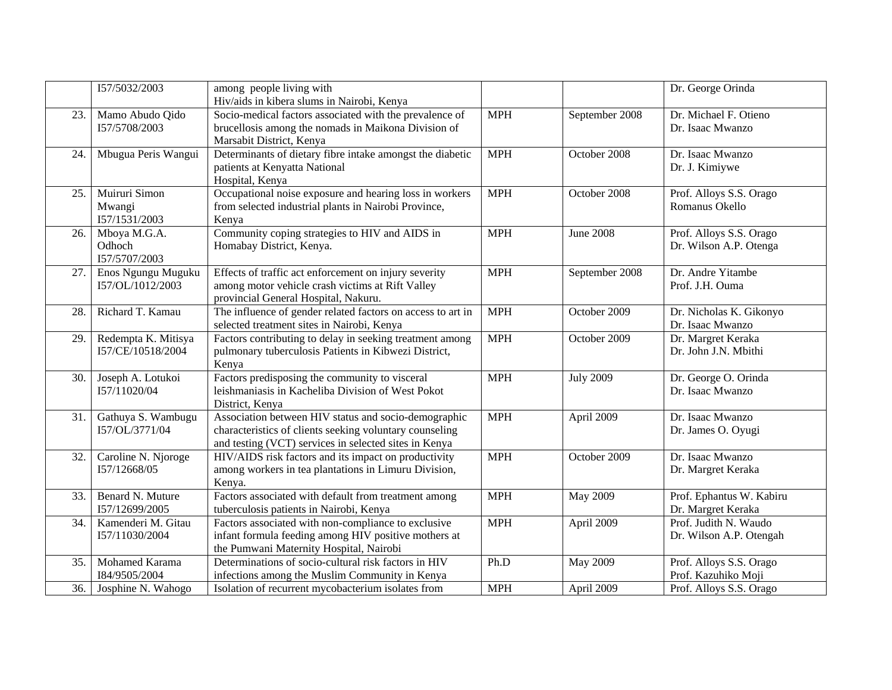|     | I57/5032/2003                            | among people living with<br>Hiv/aids in kibera slums in Nairobi, Kenya                                                                                                   |            |                  | Dr. George Orinda                                 |
|-----|------------------------------------------|--------------------------------------------------------------------------------------------------------------------------------------------------------------------------|------------|------------------|---------------------------------------------------|
| 23. | Mamo Abudo Qido<br>157/5708/2003         | Socio-medical factors associated with the prevalence of<br>brucellosis among the nomads in Maikona Division of<br>Marsabit District, Kenya                               | <b>MPH</b> | September 2008   | Dr. Michael F. Otieno<br>Dr. Isaac Mwanzo         |
| 24. | Mbugua Peris Wangui                      | Determinants of dietary fibre intake amongst the diabetic<br>patients at Kenyatta National<br>Hospital, Kenya                                                            | <b>MPH</b> | October 2008     | Dr. Isaac Mwanzo<br>Dr. J. Kimiywe                |
| 25. | Muiruri Simon<br>Mwangi<br>I57/1531/2003 | Occupational noise exposure and hearing loss in workers<br>from selected industrial plants in Nairobi Province,<br>Kenya                                                 | <b>MPH</b> | October 2008     | Prof. Alloys S.S. Orago<br>Romanus Okello         |
| 26. | Mboya M.G.A.<br>Odhoch<br>I57/5707/2003  | Community coping strategies to HIV and AIDS in<br>Homabay District, Kenya.                                                                                               | <b>MPH</b> | <b>June 2008</b> | Prof. Alloys S.S. Orago<br>Dr. Wilson A.P. Otenga |
| 27. | Enos Ngungu Muguku<br>I57/OL/1012/2003   | Effects of traffic act enforcement on injury severity<br>among motor vehicle crash victims at Rift Valley<br>provincial General Hospital, Nakuru.                        | <b>MPH</b> | September 2008   | Dr. Andre Yitambe<br>Prof. J.H. Ouma              |
| 28. | Richard T. Kamau                         | The influence of gender related factors on access to art in<br>selected treatment sites in Nairobi, Kenya                                                                | <b>MPH</b> | October 2009     | Dr. Nicholas K. Gikonyo<br>Dr. Isaac Mwanzo       |
| 29. | Redempta K. Mitisya<br>I57/CE/10518/2004 | Factors contributing to delay in seeking treatment among<br>pulmonary tuberculosis Patients in Kibwezi District,<br>Kenya                                                | <b>MPH</b> | October 2009     | Dr. Margret Keraka<br>Dr. John J.N. Mbithi        |
| 30. | Joseph A. Lotukoi<br>I57/11020/04        | Factors predisposing the community to visceral<br>leishmaniasis in Kacheliba Division of West Pokot<br>District, Kenya                                                   | <b>MPH</b> | <b>July 2009</b> | Dr. George O. Orinda<br>Dr. Isaac Mwanzo          |
| 31. | Gathuya S. Wambugu<br>I57/OL/3771/04     | Association between HIV status and socio-demographic<br>characteristics of clients seeking voluntary counseling<br>and testing (VCT) services in selected sites in Kenya | <b>MPH</b> | April 2009       | Dr. Isaac Mwanzo<br>Dr. James O. Oyugi            |
| 32. | Caroline N. Njoroge<br>157/12668/05      | HIV/AIDS risk factors and its impact on productivity<br>among workers in tea plantations in Limuru Division,<br>Kenya.                                                   | <b>MPH</b> | October 2009     | Dr. Isaac Mwanzo<br>Dr. Margret Keraka            |
| 33. | Benard N. Muture<br>I57/12699/2005       | Factors associated with default from treatment among<br>tuberculosis patients in Nairobi, Kenya                                                                          | <b>MPH</b> | May 2009         | Prof. Ephantus W. Kabiru<br>Dr. Margret Keraka    |
| 34. | Kamenderi M. Gitau<br>I57/11030/2004     | Factors associated with non-compliance to exclusive<br>infant formula feeding among HIV positive mothers at<br>the Pumwani Maternity Hospital, Nairobi                   | <b>MPH</b> | April 2009       | Prof. Judith N. Waudo<br>Dr. Wilson A.P. Otengah  |
| 35. | Mohamed Karama<br>I84/9505/2004          | Determinations of socio-cultural risk factors in HIV<br>infections among the Muslim Community in Kenya                                                                   | Ph.D       | May 2009         | Prof. Alloys S.S. Orago<br>Prof. Kazuhiko Moji    |
| 36. | Josphine N. Wahogo                       | Isolation of recurrent mycobacterium isolates from                                                                                                                       | <b>MPH</b> | April 2009       | Prof. Alloys S.S. Orago                           |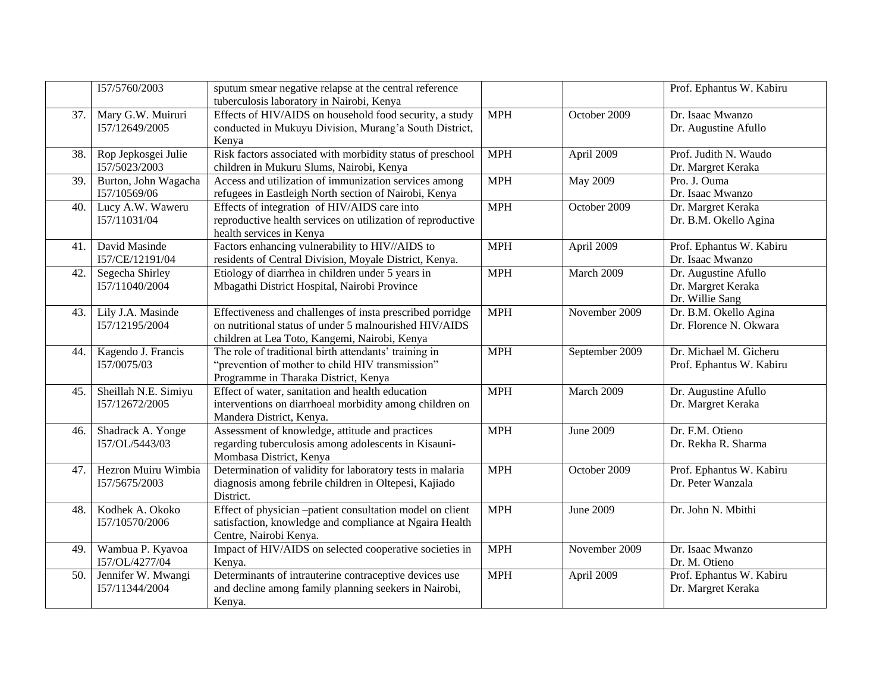|     | I57/5760/2003                          | sputum smear negative relapse at the central reference<br>tuberculosis laboratory in Nairobi, Kenya                                                                  |            |                  | Prof. Ephantus W. Kabiru                                      |
|-----|----------------------------------------|----------------------------------------------------------------------------------------------------------------------------------------------------------------------|------------|------------------|---------------------------------------------------------------|
| 37. | Mary G.W. Muiruri<br>I57/12649/2005    | Effects of HIV/AIDS on household food security, a study<br>conducted in Mukuyu Division, Murang'a South District,<br>Kenya                                           | <b>MPH</b> | October 2009     | Dr. Isaac Mwanzo<br>Dr. Augustine Afullo                      |
| 38. | Rop Jepkosgei Julie<br>I57/5023/2003   | Risk factors associated with morbidity status of preschool<br>children in Mukuru Slums, Nairobi, Kenya                                                               | <b>MPH</b> | April 2009       | Prof. Judith N. Waudo<br>Dr. Margret Keraka                   |
| 39. | Burton, John Wagacha<br>I57/10569/06   | Access and utilization of immunization services among<br>refugees in Eastleigh North section of Nairobi, Kenya                                                       | <b>MPH</b> | May 2009         | Pro. J. Ouma<br>Dr. Isaac Mwanzo                              |
| 40. | Lucy A.W. Waweru<br>I57/11031/04       | Effects of integration of HIV/AIDS care into<br>reproductive health services on utilization of reproductive<br>health services in Kenya                              | <b>MPH</b> | October 2009     | Dr. Margret Keraka<br>Dr. B.M. Okello Agina                   |
| 41. | David Masinde<br>I57/CE/12191/04       | Factors enhancing vulnerability to HIV//AIDS to<br>residents of Central Division, Moyale District, Kenya.                                                            | <b>MPH</b> | April 2009       | Prof. Ephantus W. Kabiru<br>Dr. Isaac Mwanzo                  |
| 42. | Segecha Shirley<br>I57/11040/2004      | Etiology of diarrhea in children under 5 years in<br>Mbagathi District Hospital, Nairobi Province                                                                    | <b>MPH</b> | March 2009       | Dr. Augustine Afullo<br>Dr. Margret Keraka<br>Dr. Willie Sang |
| 43. | Lily J.A. Masinde<br>I57/12195/2004    | Effectiveness and challenges of insta prescribed porridge<br>on nutritional status of under 5 malnourished HIV/AIDS<br>children at Lea Toto, Kangemi, Nairobi, Kenya | <b>MPH</b> | November 2009    | Dr. B.M. Okello Agina<br>Dr. Florence N. Okwara               |
| 44. | Kagendo J. Francis<br>I57/0075/03      | The role of traditional birth attendants' training in<br>"prevention of mother to child HIV transmission"<br>Programme in Tharaka District, Kenya                    | <b>MPH</b> | September 2009   | Dr. Michael M. Gicheru<br>Prof. Ephantus W. Kabiru            |
| 45. | Sheillah N.E. Simiyu<br>157/12672/2005 | Effect of water, sanitation and health education<br>interventions on diarrhoeal morbidity among children on<br>Mandera District, Kenya.                              | <b>MPH</b> | March 2009       | Dr. Augustine Afullo<br>Dr. Margret Keraka                    |
| 46. | Shadrack A. Yonge<br>I57/OL/5443/03    | Assessment of knowledge, attitude and practices<br>regarding tuberculosis among adolescents in Kisauni-<br>Mombasa District, Kenya                                   | <b>MPH</b> | <b>June 2009</b> | Dr. F.M. Otieno<br>Dr. Rekha R. Sharma                        |
| 47. | Hezron Muiru Wimbia<br>I57/5675/2003   | Determination of validity for laboratory tests in malaria<br>diagnosis among febrile children in Oltepesi, Kajiado<br>District.                                      | <b>MPH</b> | October 2009     | Prof. Ephantus W. Kabiru<br>Dr. Peter Wanzala                 |
| 48. | Kodhek A. Okoko<br>I57/10570/2006      | Effect of physician -patient consultation model on client<br>satisfaction, knowledge and compliance at Ngaira Health<br>Centre, Nairobi Kenya.                       | <b>MPH</b> | <b>June 2009</b> | Dr. John N. Mbithi                                            |
| 49. | Wambua P. Kyavoa<br>I57/OL/4277/04     | Impact of HIV/AIDS on selected cooperative societies in<br>Kenya.                                                                                                    | <b>MPH</b> | November 2009    | Dr. Isaac Mwanzo<br>Dr. M. Otieno                             |
| 50. | Jennifer W. Mwangi<br>I57/11344/2004   | Determinants of intrauterine contraceptive devices use<br>and decline among family planning seekers in Nairobi,<br>Kenya.                                            | <b>MPH</b> | April 2009       | Prof. Ephantus W. Kabiru<br>Dr. Margret Keraka                |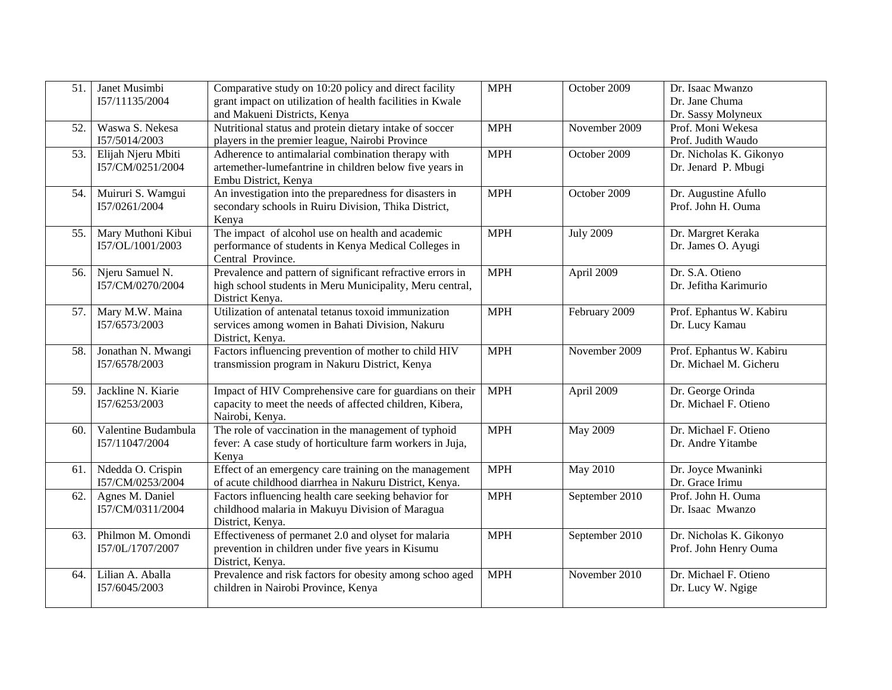| 51. | Janet Musimbi<br>I57/11135/2004        | Comparative study on 10:20 policy and direct facility<br>grant impact on utilization of health facilities in Kwale<br>and Makueni Districts, Kenya | <b>MPH</b> | October 2009     | Dr. Isaac Mwanzo<br>Dr. Jane Chuma<br>Dr. Sassy Molyneux |
|-----|----------------------------------------|----------------------------------------------------------------------------------------------------------------------------------------------------|------------|------------------|----------------------------------------------------------|
| 52. | Waswa S. Nekesa<br>I57/5014/2003       | Nutritional status and protein dietary intake of soccer<br>players in the premier league, Nairobi Province                                         | <b>MPH</b> | November 2009    | Prof. Moni Wekesa<br>Prof. Judith Waudo                  |
| 53. | Elijah Njeru Mbiti<br>I57/CM/0251/2004 | Adherence to antimalarial combination therapy with<br>artemether-lumefantrine in children below five years in<br>Embu District, Kenya              | <b>MPH</b> | October 2009     | Dr. Nicholas K. Gikonyo<br>Dr. Jenard P. Mbugi           |
| 54. | Muiruri S. Wamgui<br>I57/0261/2004     | An investigation into the preparedness for disasters in<br>secondary schools in Ruiru Division, Thika District,<br>Kenya                           | <b>MPH</b> | October 2009     | Dr. Augustine Afullo<br>Prof. John H. Ouma               |
| 55. | Mary Muthoni Kibui<br>I57/OL/1001/2003 | The impact of alcohol use on health and academic<br>performance of students in Kenya Medical Colleges in<br>Central Province.                      | <b>MPH</b> | <b>July 2009</b> | Dr. Margret Keraka<br>Dr. James O. Ayugi                 |
| 56. | Njeru Samuel N.<br>I57/CM/0270/2004    | Prevalence and pattern of significant refractive errors in<br>high school students in Meru Municipality, Meru central,<br>District Kenya.          | <b>MPH</b> | April 2009       | Dr. S.A. Otieno<br>Dr. Jefitha Karimurio                 |
| 57. | Mary M.W. Maina<br>I57/6573/2003       | Utilization of antenatal tetanus toxoid immunization<br>services among women in Bahati Division, Nakuru<br>District, Kenya.                        | <b>MPH</b> | February 2009    | Prof. Ephantus W. Kabiru<br>Dr. Lucy Kamau               |
| 58. | Jonathan N. Mwangi<br>I57/6578/2003    | Factors influencing prevention of mother to child HIV<br>transmission program in Nakuru District, Kenya                                            | <b>MPH</b> | November 2009    | Prof. Ephantus W. Kabiru<br>Dr. Michael M. Gicheru       |
| 59. | Jackline N. Kiarie<br>I57/6253/2003    | Impact of HIV Comprehensive care for guardians on their<br>capacity to meet the needs of affected children, Kibera,<br>Nairobi, Kenya.             | <b>MPH</b> | April 2009       | Dr. George Orinda<br>Dr. Michael F. Otieno               |
| 60. | Valentine Budambula<br>I57/11047/2004  | The role of vaccination in the management of typhoid<br>fever: A case study of horticulture farm workers in Juja,<br>Kenya                         | <b>MPH</b> | <b>May 2009</b>  | Dr. Michael F. Otieno<br>Dr. Andre Yitambe               |
| 61. | Ndedda O. Crispin<br>I57/CM/0253/2004  | Effect of an emergency care training on the management<br>of acute childhood diarrhea in Nakuru District, Kenya.                                   | <b>MPH</b> | <b>May 2010</b>  | Dr. Joyce Mwaninki<br>Dr. Grace Irimu                    |
| 62. | Agnes M. Daniel<br>I57/CM/0311/2004    | Factors influencing health care seeking behavior for<br>childhood malaria in Makuyu Division of Maragua<br>District, Kenya.                        | <b>MPH</b> | September 2010   | Prof. John H. Ouma<br>Dr. Isaac Mwanzo                   |
| 63. | Philmon M. Omondi<br>I57/0L/1707/2007  | Effectiveness of permanet 2.0 and olyset for malaria<br>prevention in children under five years in Kisumu<br>District, Kenya.                      | <b>MPH</b> | September 2010   | Dr. Nicholas K. Gikonyo<br>Prof. John Henry Ouma         |
| 64. | Lilian A. Aballa<br>I57/6045/2003      | Prevalence and risk factors for obesity among schoo aged<br>children in Nairobi Province, Kenya                                                    | <b>MPH</b> | November 2010    | Dr. Michael F. Otieno<br>Dr. Lucy W. Ngige               |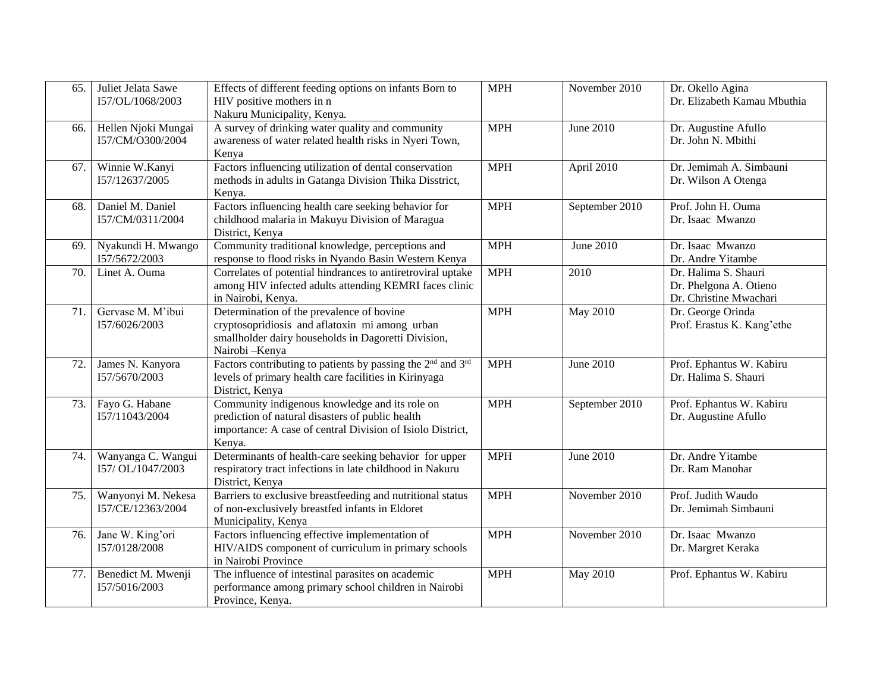| 65. | Juliet Jelata Sawe<br>I57/OL/1068/2003  | Effects of different feeding options on infants Born to<br>HIV positive mothers in n<br>Nakuru Municipality, Kenya.                                                        | <b>MPH</b> | November 2010   | Dr. Okello Agina<br>Dr. Elizabeth Kamau Mbuthia                          |
|-----|-----------------------------------------|----------------------------------------------------------------------------------------------------------------------------------------------------------------------------|------------|-----------------|--------------------------------------------------------------------------|
| 66. | Hellen Njoki Mungai<br>I57/CM/O300/2004 | A survey of drinking water quality and community<br>awareness of water related health risks in Nyeri Town,<br>Kenya                                                        | <b>MPH</b> | June 2010       | Dr. Augustine Afullo<br>Dr. John N. Mbithi                               |
| 67. | Winnie W.Kanyi<br>I57/12637/2005        | Factors influencing utilization of dental conservation<br>methods in adults in Gatanga Division Thika Disstrict,<br>Kenya.                                                 | <b>MPH</b> | April 2010      | Dr. Jemimah A. Simbauni<br>Dr. Wilson A Otenga                           |
| 68. | Daniel M. Daniel<br>I57/CM/0311/2004    | Factors influencing health care seeking behavior for<br>childhood malaria in Makuyu Division of Maragua<br>District, Kenya                                                 | <b>MPH</b> | September 2010  | Prof. John H. Ouma<br>Dr. Isaac Mwanzo                                   |
| 69. | Nyakundi H. Mwango<br>I57/5672/2003     | Community traditional knowledge, perceptions and<br>response to flood risks in Nyando Basin Western Kenya                                                                  | <b>MPH</b> | June 2010       | Dr. Isaac Mwanzo<br>Dr. Andre Yitambe                                    |
| 70. | Linet A. Ouma                           | Correlates of potential hindrances to antiretroviral uptake<br>among HIV infected adults attending KEMRI faces clinic<br>in Nairobi, Kenya.                                | <b>MPH</b> | 2010            | Dr. Halima S. Shauri<br>Dr. Phelgona A. Otieno<br>Dr. Christine Mwachari |
| 71. | Gervase M. M'ibui<br>I57/6026/2003      | Determination of the prevalence of bovine<br>cryptosopridiosis and aflatoxin mi among urban<br>smallholder dairy households in Dagoretti Division,<br>Nairobi - Kenya      | <b>MPH</b> | <b>May 2010</b> | Dr. George Orinda<br>Prof. Erastus K. Kang'ethe                          |
| 72. | James N. Kanyora<br>I57/5670/2003       | Factors contributing to patients by passing the 2 <sup>nd</sup> and 3 <sup>rd</sup><br>levels of primary health care facilities in Kirinyaga<br>District, Kenya            | <b>MPH</b> | June 2010       | Prof. Ephantus W. Kabiru<br>Dr. Halima S. Shauri                         |
| 73. | Fayo G. Habane<br>I57/11043/2004        | Community indigenous knowledge and its role on<br>prediction of natural disasters of public health<br>importance: A case of central Division of Isiolo District,<br>Kenya. | <b>MPH</b> | September 2010  | Prof. Ephantus W. Kabiru<br>Dr. Augustine Afullo                         |
| 74. | Wanyanga C. Wangui<br>I57/OL/1047/2003  | Determinants of health-care seeking behavior for upper<br>respiratory tract infections in late childhood in Nakuru<br>District, Kenya                                      | <b>MPH</b> | June 2010       | Dr. Andre Yitambe<br>Dr. Ram Manohar                                     |
| 75. | Wanyonyi M. Nekesa<br>I57/CE/12363/2004 | Barriers to exclusive breastfeeding and nutritional status<br>of non-exclusively breastfed infants in Eldoret<br>Municipality, Kenya                                       | <b>MPH</b> | November 2010   | Prof. Judith Waudo<br>Dr. Jemimah Simbauni                               |
| 76. | Jane W. King'ori<br>157/0128/2008       | Factors influencing effective implementation of<br>HIV/AIDS component of curriculum in primary schools<br>in Nairobi Province                                              | <b>MPH</b> | November 2010   | Dr. Isaac Mwanzo<br>Dr. Margret Keraka                                   |
| 77. | Benedict M. Mwenji<br>I57/5016/2003     | The influence of intestinal parasites on academic<br>performance among primary school children in Nairobi<br>Province, Kenya.                                              | <b>MPH</b> | <b>May 2010</b> | Prof. Ephantus W. Kabiru                                                 |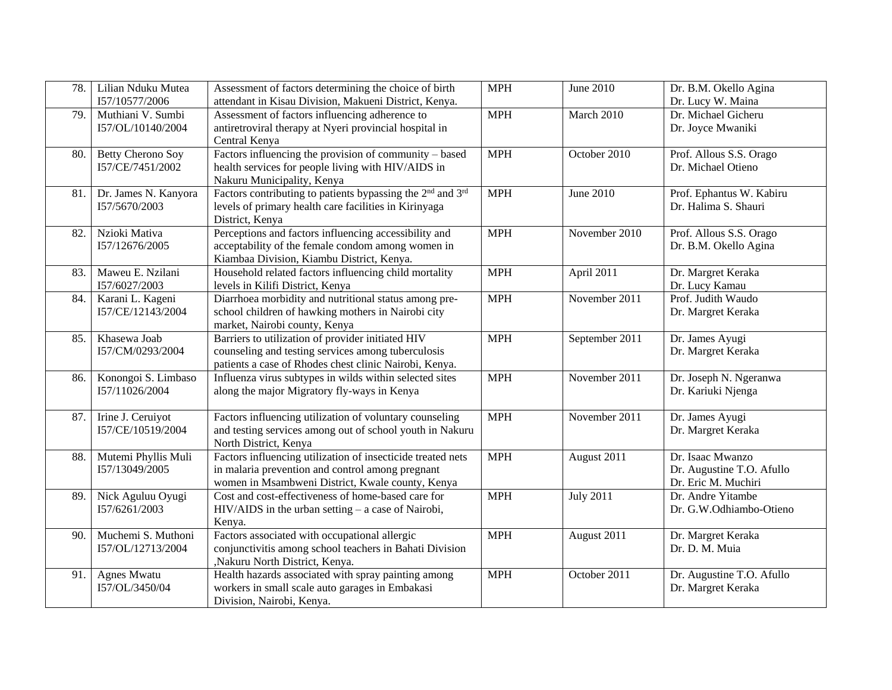| 78. | Lilian Nduku Mutea<br>I57/10577/2006         | Assessment of factors determining the choice of birth<br>attendant in Kisau Division, Makueni District, Kenya.                                                      | <b>MPH</b> | June 2010        | Dr. B.M. Okello Agina<br>Dr. Lucy W. Maina                           |
|-----|----------------------------------------------|---------------------------------------------------------------------------------------------------------------------------------------------------------------------|------------|------------------|----------------------------------------------------------------------|
| 79. | Muthiani V. Sumbi<br>I57/OL/10140/2004       | Assessment of factors influencing adherence to<br>antiretroviral therapy at Nyeri provincial hospital in<br>Central Kenya                                           | <b>MPH</b> | March 2010       | Dr. Michael Gicheru<br>Dr. Joyce Mwaniki                             |
| 80. | <b>Betty Cherono Soy</b><br>I57/CE/7451/2002 | Factors influencing the provision of community - based<br>health services for people living with HIV/AIDS in<br>Nakuru Municipality, Kenya                          | <b>MPH</b> | October 2010     | Prof. Allous S.S. Orago<br>Dr. Michael Otieno                        |
| 81. | Dr. James N. Kanyora<br>I57/5670/2003        | Factors contributing to patients bypassing the 2 <sup>nd</sup> and 3 <sup>rd</sup><br>levels of primary health care facilities in Kirinyaga<br>District, Kenya      | <b>MPH</b> | June 2010        | Prof. Ephantus W. Kabiru<br>Dr. Halima S. Shauri                     |
| 82. | Nzioki Mativa<br>I57/12676/2005              | Perceptions and factors influencing accessibility and<br>acceptability of the female condom among women in<br>Kiambaa Division, Kiambu District, Kenya.             | <b>MPH</b> | November 2010    | Prof. Allous S.S. Orago<br>Dr. B.M. Okello Agina                     |
| 83. | Maweu E. Nzilani<br>I57/6027/2003            | Household related factors influencing child mortality<br>levels in Kilifi District, Kenya                                                                           | <b>MPH</b> | April 2011       | Dr. Margret Keraka<br>Dr. Lucy Kamau                                 |
| 84. | Karani L. Kageni<br>I57/CE/12143/2004        | Diarrhoea morbidity and nutritional status among pre-<br>school children of hawking mothers in Nairobi city<br>market, Nairobi county, Kenya                        | <b>MPH</b> | November 2011    | Prof. Judith Waudo<br>Dr. Margret Keraka                             |
| 85. | Khasewa Joab<br>I57/CM/0293/2004             | Barriers to utilization of provider initiated HIV<br>counseling and testing services among tuberculosis<br>patients a case of Rhodes chest clinic Nairobi, Kenya.   | <b>MPH</b> | September 2011   | Dr. James Ayugi<br>Dr. Margret Keraka                                |
| 86. | Konongoi S. Limbaso<br>I57/11026/2004        | Influenza virus subtypes in wilds within selected sites<br>along the major Migratory fly-ways in Kenya                                                              | <b>MPH</b> | November 2011    | Dr. Joseph N. Ngeranwa<br>Dr. Kariuki Njenga                         |
| 87. | Irine J. Ceruiyot<br>I57/CE/10519/2004       | Factors influencing utilization of voluntary counseling<br>and testing services among out of school youth in Nakuru<br>North District, Kenya                        | <b>MPH</b> | November 2011    | Dr. James Ayugi<br>Dr. Margret Keraka                                |
| 88. | Mutemi Phyllis Muli<br>I57/13049/2005        | Factors influencing utilization of insecticide treated nets<br>in malaria prevention and control among pregnant<br>women in Msambweni District, Kwale county, Kenya | <b>MPH</b> | August 2011      | Dr. Isaac Mwanzo<br>Dr. Augustine T.O. Afullo<br>Dr. Eric M. Muchiri |
| 89. | Nick Aguluu Oyugi<br>I57/6261/2003           | Cost and cost-effectiveness of home-based care for<br>HIV/AIDS in the urban setting - a case of Nairobi,<br>Kenya.                                                  | <b>MPH</b> | <b>July 2011</b> | Dr. Andre Yitambe<br>Dr. G.W.Odhiambo-Otieno                         |
| 90. | Muchemi S. Muthoni<br>I57/OL/12713/2004      | Factors associated with occupational allergic<br>conjunctivitis among school teachers in Bahati Division<br>,Nakuru North District, Kenya.                          | <b>MPH</b> | August 2011      | Dr. Margret Keraka<br>Dr. D. M. Muia                                 |
| 91. | Agnes Mwatu<br>I57/OL/3450/04                | Health hazards associated with spray painting among<br>workers in small scale auto garages in Embakasi<br>Division, Nairobi, Kenya.                                 | <b>MPH</b> | October 2011     | Dr. Augustine T.O. Afullo<br>Dr. Margret Keraka                      |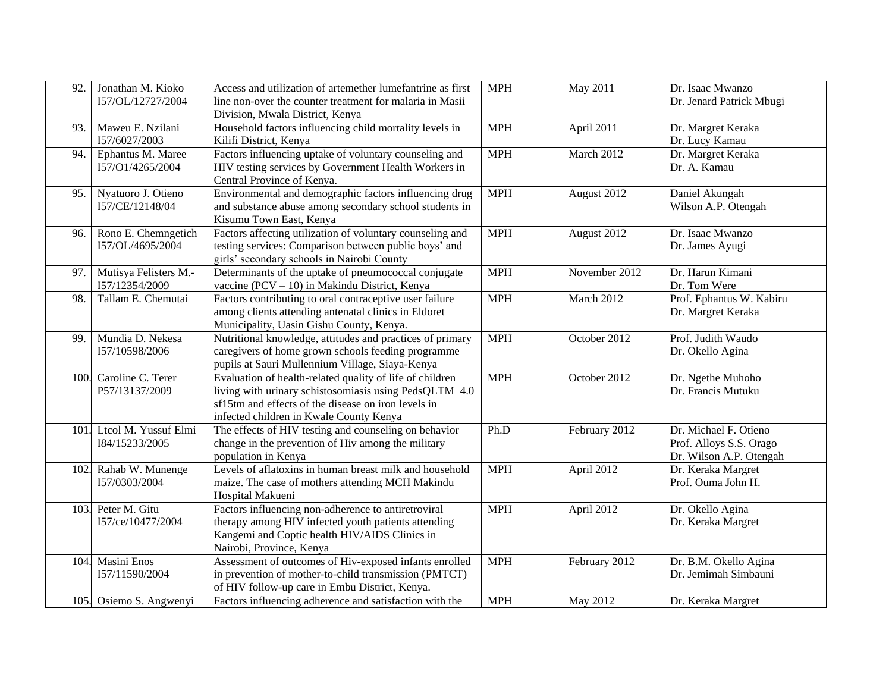| 92.  | Jonathan M. Kioko<br>I57/OL/12727/2004  | Access and utilization of artemether lumefantrine as first<br>line non-over the counter treatment for malaria in Masii<br>Division, Mwala District, Kenya                                                            | <b>MPH</b> | May 2011      | Dr. Isaac Mwanzo<br>Dr. Jenard Patrick Mbugi                                |
|------|-----------------------------------------|----------------------------------------------------------------------------------------------------------------------------------------------------------------------------------------------------------------------|------------|---------------|-----------------------------------------------------------------------------|
| 93.  | Maweu E. Nzilani<br>I57/6027/2003       | Household factors influencing child mortality levels in<br>Kilifi District, Kenya                                                                                                                                    | <b>MPH</b> | April 2011    | Dr. Margret Keraka<br>Dr. Lucy Kamau                                        |
| 94.  | Ephantus M. Maree<br>I57/O1/4265/2004   | Factors influencing uptake of voluntary counseling and<br>HIV testing services by Government Health Workers in<br>Central Province of Kenya.                                                                         | <b>MPH</b> | March 2012    | Dr. Margret Keraka<br>Dr. A. Kamau                                          |
| 95.  | Nyatuoro J. Otieno<br>I57/CE/12148/04   | Environmental and demographic factors influencing drug<br>and substance abuse among secondary school students in<br>Kisumu Town East, Kenya                                                                          | <b>MPH</b> | August 2012   | Daniel Akungah<br>Wilson A.P. Otengah                                       |
| 96.  | Rono E. Chemngetich<br>I57/OL/4695/2004 | Factors affecting utilization of voluntary counseling and<br>testing services: Comparison between public boys' and<br>girls' secondary schools in Nairobi County                                                     | <b>MPH</b> | August 2012   | Dr. Isaac Mwanzo<br>Dr. James Ayugi                                         |
| 97.  | Mutisya Felisters M.-<br>I57/12354/2009 | Determinants of the uptake of pneumococcal conjugate<br>vaccine ( $PCV - 10$ ) in Makindu District, Kenya                                                                                                            | <b>MPH</b> | November 2012 | Dr. Harun Kimani<br>Dr. Tom Were                                            |
| 98.  | Tallam E. Chemutai                      | Factors contributing to oral contraceptive user failure<br>among clients attending antenatal clinics in Eldoret<br>Municipality, Uasin Gishu County, Kenya.                                                          | <b>MPH</b> | March 2012    | Prof. Ephantus W. Kabiru<br>Dr. Margret Keraka                              |
| 99.  | Mundia D. Nekesa<br>I57/10598/2006      | Nutritional knowledge, attitudes and practices of primary<br>caregivers of home grown schools feeding programme<br>pupils at Sauri Mullennium Village, Siaya-Kenya                                                   | <b>MPH</b> | October 2012  | Prof. Judith Waudo<br>Dr. Okello Agina                                      |
| 100. | Caroline C. Terer<br>P57/13137/2009     | Evaluation of health-related quality of life of children<br>living with urinary schistosomiasis using PedsQLTM 4.0<br>sf15tm and effects of the disease on iron levels in<br>infected children in Kwale County Kenya | <b>MPH</b> | October 2012  | Dr. Ngethe Muhoho<br>Dr. Francis Mutuku                                     |
| 101. | Ltcol M. Yussuf Elmi<br>184/15233/2005  | The effects of HIV testing and counseling on behavior<br>change in the prevention of Hiv among the military<br>population in Kenya                                                                                   | Ph.D       | February 2012 | Dr. Michael F. Otieno<br>Prof. Alloys S.S. Orago<br>Dr. Wilson A.P. Otengah |
| 102. | Rahab W. Munenge<br>I57/0303/2004       | Levels of aflatoxins in human breast milk and household<br>maize. The case of mothers attending MCH Makindu<br>Hospital Makueni                                                                                      | <b>MPH</b> | April 2012    | Dr. Keraka Margret<br>Prof. Ouma John H.                                    |
| 103. | Peter M. Gitu<br>I57/ce/10477/2004      | Factors influencing non-adherence to antiretroviral<br>therapy among HIV infected youth patients attending<br>Kangemi and Coptic health HIV/AIDS Clinics in<br>Nairobi, Province, Kenya                              | <b>MPH</b> | April 2012    | Dr. Okello Agina<br>Dr. Keraka Margret                                      |
| 104. | Masini Enos<br>I57/11590/2004           | Assessment of outcomes of Hiv-exposed infants enrolled<br>in prevention of mother-to-child transmission (PMTCT)<br>of HIV follow-up care in Embu District, Kenya.                                                    | <b>MPH</b> | February 2012 | Dr. B.M. Okello Agina<br>Dr. Jemimah Simbauni                               |
|      | 105. Osiemo S. Angwenyi                 | Factors influencing adherence and satisfaction with the                                                                                                                                                              | <b>MPH</b> | May 2012      | Dr. Keraka Margret                                                          |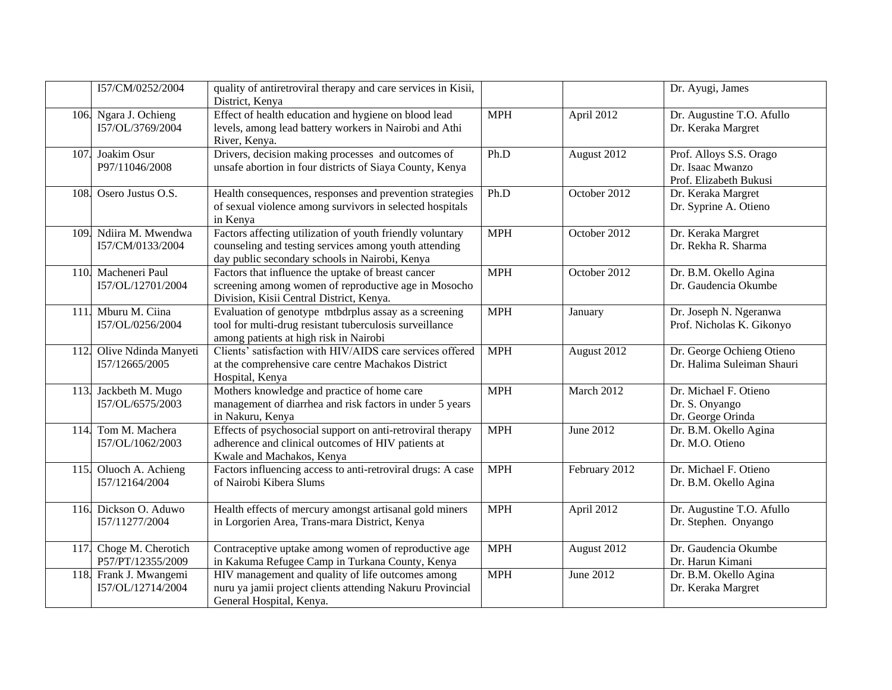|      | I57/CM/0252/2004                            | quality of antiretroviral therapy and care services in Kisii,<br>District, Kenya                                                                                     |                             |               | Dr. Ayugi, James                                                      |
|------|---------------------------------------------|----------------------------------------------------------------------------------------------------------------------------------------------------------------------|-----------------------------|---------------|-----------------------------------------------------------------------|
|      | 106. Ngara J. Ochieng<br>I57/OL/3769/2004   | Effect of health education and hygiene on blood lead<br>levels, among lead battery workers in Nairobi and Athi<br>River, Kenya.                                      | <b>MPH</b>                  | April 2012    | Dr. Augustine T.O. Afullo<br>Dr. Keraka Margret                       |
| 107. | Joakim Osur<br>P97/11046/2008               | Drivers, decision making processes and outcomes of<br>unsafe abortion in four districts of Siaya County, Kenya                                                       | Ph.D                        | August 2012   | Prof. Alloys S.S. Orago<br>Dr. Isaac Mwanzo<br>Prof. Elizabeth Bukusi |
| 108. | Osero Justus O.S.                           | Health consequences, responses and prevention strategies<br>of sexual violence among survivors in selected hospitals<br>in Kenya                                     | Ph.D                        | October 2012  | Dr. Keraka Margret<br>Dr. Syprine A. Otieno                           |
| 109. | Ndiira M. Mwendwa<br>I57/CM/0133/2004       | Factors affecting utilization of youth friendly voluntary<br>counseling and testing services among youth attending<br>day public secondary schools in Nairobi, Kenya | <b>MPH</b>                  | October 2012  | Dr. Keraka Margret<br>Dr. Rekha R. Sharma                             |
| 110  | Macheneri Paul<br>I57/OL/12701/2004         | Factors that influence the uptake of breast cancer<br>screening among women of reproductive age in Mosocho<br>Division, Kisii Central District, Kenya.               | <b>MPH</b>                  | October 2012  | Dr. B.M. Okello Agina<br>Dr. Gaudencia Okumbe                         |
| 111. | Mburu M. Ciina<br>I57/OL/0256/2004          | Evaluation of genotype mtbdrplus assay as a screening<br>tool for multi-drug resistant tuberculosis surveillance<br>among patients at high risk in Nairobi           | <b>MPH</b>                  | January       | Dr. Joseph N. Ngeranwa<br>Prof. Nicholas K. Gikonyo                   |
|      | 112. Olive Ndinda Manyeti<br>I57/12665/2005 | Clients' satisfaction with HIV/AIDS care services offered<br>at the comprehensive care centre Machakos District<br>Hospital, Kenya                                   | <b>MPH</b>                  | August 2012   | Dr. George Ochieng Otieno<br>Dr. Halima Suleiman Shauri               |
|      | 113. Jackbeth M. Mugo<br>I57/OL/6575/2003   | Mothers knowledge and practice of home care<br>management of diarrhea and risk factors in under 5 years<br>in Nakuru, Kenya                                          | <b>MPH</b>                  | March 2012    | Dr. Michael F. Otieno<br>Dr. S. Onyango<br>Dr. George Orinda          |
| 114  | Tom M. Machera<br>I57/OL/1062/2003          | Effects of psychosocial support on anti-retroviral therapy<br>adherence and clinical outcomes of HIV patients at<br>Kwale and Machakos, Kenya                        | <b>MPH</b>                  | June 2012     | Dr. B.M. Okello Agina<br>Dr. M.O. Otieno                              |
| 115. | Oluoch A. Achieng<br>I57/12164/2004         | Factors influencing access to anti-retroviral drugs: A case<br>of Nairobi Kibera Slums                                                                               | $\ensuremath{\mathbf{MPH}}$ | February 2012 | Dr. Michael F. Otieno<br>Dr. B.M. Okello Agina                        |
| 116. | Dickson O. Aduwo<br>I57/11277/2004          | Health effects of mercury amongst artisanal gold miners<br>in Lorgorien Area, Trans-mara District, Kenya                                                             | <b>MPH</b>                  | April 2012    | Dr. Augustine T.O. Afullo<br>Dr. Stephen. Onyango                     |
| 117. | Choge M. Cherotich<br>P57/PT/12355/2009     | Contraceptive uptake among women of reproductive age<br>in Kakuma Refugee Camp in Turkana County, Kenya                                                              | <b>MPH</b>                  | August 2012   | Dr. Gaudencia Okumbe<br>Dr. Harun Kimani                              |
|      | 118. Frank J. Mwangemi<br>I57/OL/12714/2004 | HIV management and quality of life outcomes among<br>nuru ya jamii project clients attending Nakuru Provincial<br>General Hospital, Kenya.                           | <b>MPH</b>                  | June 2012     | Dr. B.M. Okello Agina<br>Dr. Keraka Margret                           |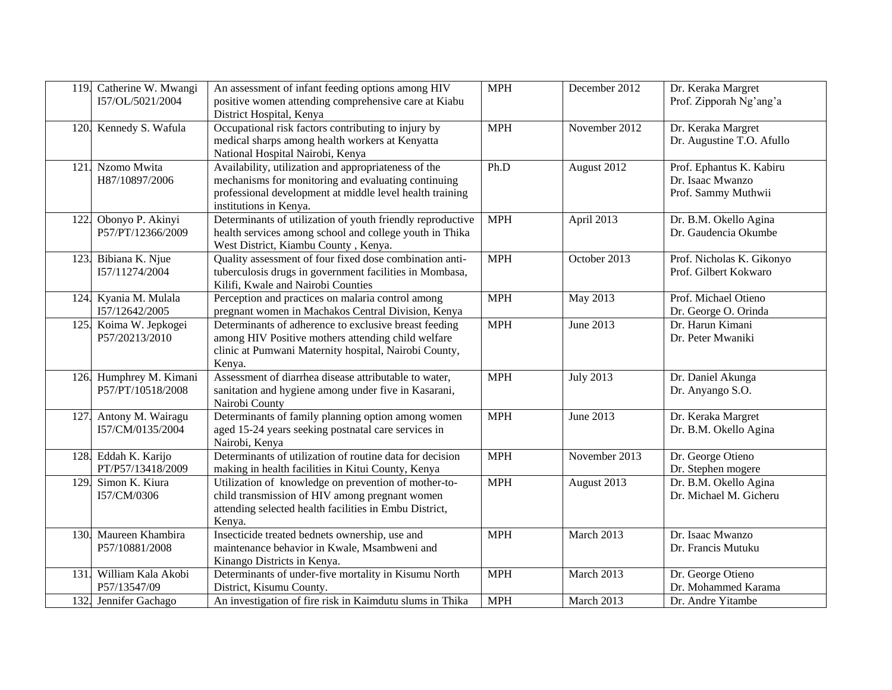|      | 119. Catherine W. Mwangi<br>I57/OL/5021/2004 | An assessment of infant feeding options among HIV<br>positive women attending comprehensive care at Kiabu<br>District Hospital, Kenya                                                             | <b>MPH</b> | December 2012    | Dr. Keraka Margret<br>Prof. Zipporah Ng'ang'a                       |
|------|----------------------------------------------|---------------------------------------------------------------------------------------------------------------------------------------------------------------------------------------------------|------------|------------------|---------------------------------------------------------------------|
|      | 120. Kennedy S. Wafula                       | Occupational risk factors contributing to injury by<br>medical sharps among health workers at Kenyatta<br>National Hospital Nairobi, Kenya                                                        | <b>MPH</b> | November 2012    | Dr. Keraka Margret<br>Dr. Augustine T.O. Afullo                     |
| 121. | Nzomo Mwita<br>H87/10897/2006                | Availability, utilization and appropriateness of the<br>mechanisms for monitoring and evaluating continuing<br>professional development at middle level health training<br>institutions in Kenya. | Ph.D       | August 2012      | Prof. Ephantus K. Kabiru<br>Dr. Isaac Mwanzo<br>Prof. Sammy Muthwii |
| 122. | Obonyo P. Akinyi<br>P57/PT/12366/2009        | Determinants of utilization of youth friendly reproductive<br>health services among school and college youth in Thika<br>West District, Kiambu County, Kenya.                                     | <b>MPH</b> | April 2013       | Dr. B.M. Okello Agina<br>Dr. Gaudencia Okumbe                       |
|      | 123. Bibiana K. Njue<br>I57/11274/2004       | Quality assessment of four fixed dose combination anti-<br>tuberculosis drugs in government facilities in Mombasa,<br>Kilifi, Kwale and Nairobi Counties                                          | <b>MPH</b> | October 2013     | Prof. Nicholas K. Gikonyo<br>Prof. Gilbert Kokwaro                  |
|      | 124. Kyania M. Mulala<br>I57/12642/2005      | Perception and practices on malaria control among<br>pregnant women in Machakos Central Division, Kenya                                                                                           | <b>MPH</b> | May 2013         | Prof. Michael Otieno<br>Dr. George O. Orinda                        |
|      | 125. Koima W. Jepkogei<br>P57/20213/2010     | Determinants of adherence to exclusive breast feeding<br>among HIV Positive mothers attending child welfare<br>clinic at Pumwani Maternity hospital, Nairobi County,<br>Kenya.                    | <b>MPH</b> | June 2013        | Dr. Harun Kimani<br>Dr. Peter Mwaniki                               |
|      | 126. Humphrey M. Kimani<br>P57/PT/10518/2008 | Assessment of diarrhea disease attributable to water,<br>sanitation and hygiene among under five in Kasarani,<br>Nairobi County                                                                   | <b>MPH</b> | <b>July 2013</b> | Dr. Daniel Akunga<br>Dr. Anyango S.O.                               |
|      | 127. Antony M. Wairagu<br>I57/CM/0135/2004   | Determinants of family planning option among women<br>aged 15-24 years seeking postnatal care services in<br>Nairobi, Kenya                                                                       | <b>MPH</b> | June 2013        | Dr. Keraka Margret<br>Dr. B.M. Okello Agina                         |
|      | 128. Eddah K. Karijo<br>PT/P57/13418/2009    | Determinants of utilization of routine data for decision<br>making in health facilities in Kitui County, Kenya                                                                                    | <b>MPH</b> | November 2013    | Dr. George Otieno<br>Dr. Stephen mogere                             |
| 129. | Simon K. Kiura<br>I57/CM/0306                | Utilization of knowledge on prevention of mother-to-<br>child transmission of HIV among pregnant women<br>attending selected health facilities in Embu District,<br>Kenya.                        | <b>MPH</b> | August 2013      | Dr. B.M. Okello Agina<br>Dr. Michael M. Gicheru                     |
| 130. | Maureen Khambira<br>P57/10881/2008           | Insecticide treated bednets ownership, use and<br>maintenance behavior in Kwale, Msambweni and<br>Kinango Districts in Kenya.                                                                     | <b>MPH</b> | March 2013       | Dr. Isaac Mwanzo<br>Dr. Francis Mutuku                              |
| 131. | William Kala Akobi<br>P57/13547/09           | Determinants of under-five mortality in Kisumu North<br>District, Kisumu County.                                                                                                                  | <b>MPH</b> | March 2013       | Dr. George Otieno<br>Dr. Mohammed Karama                            |
|      | 132. Jennifer Gachago                        | An investigation of fire risk in Kaimdutu slums in Thika                                                                                                                                          | <b>MPH</b> | March 2013       | Dr. Andre Yitambe                                                   |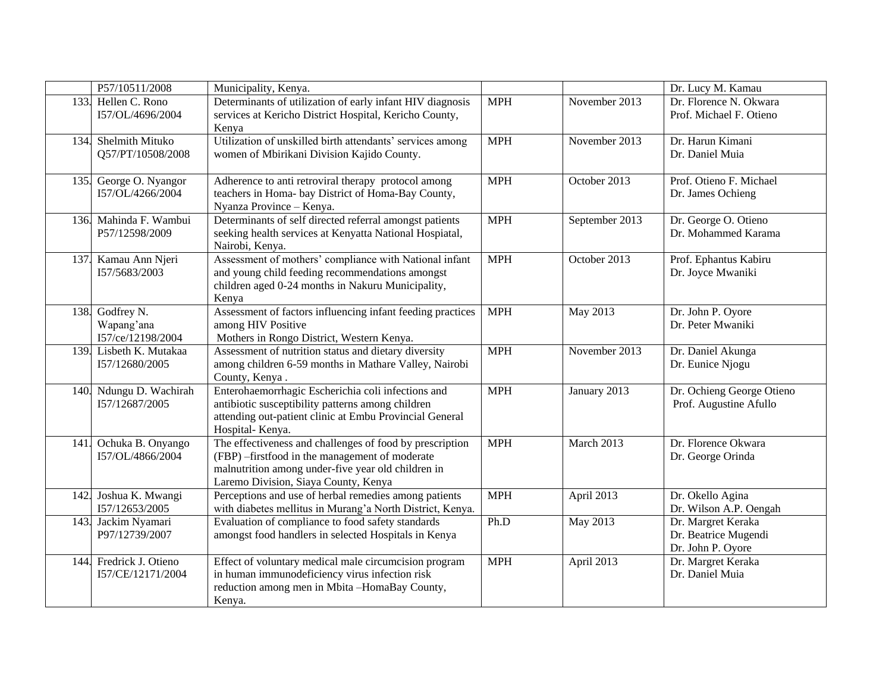|      | P57/10511/2008                                     | Municipality, Kenya.                                                                                                                                                                                     |            |                | Dr. Lucy M. Kamau                                               |
|------|----------------------------------------------------|----------------------------------------------------------------------------------------------------------------------------------------------------------------------------------------------------------|------------|----------------|-----------------------------------------------------------------|
|      | 133. Hellen C. Rono<br>I57/OL/4696/2004            | Determinants of utilization of early infant HIV diagnosis<br>services at Kericho District Hospital, Kericho County,<br>Kenya                                                                             | <b>MPH</b> | November 2013  | Dr. Florence N. Okwara<br>Prof. Michael F. Otieno               |
| 134. | Shelmith Mituko<br>Q57/PT/10508/2008               | Utilization of unskilled birth attendants' services among<br>women of Mbirikani Division Kajido County.                                                                                                  | <b>MPH</b> | November 2013  | Dr. Harun Kimani<br>Dr. Daniel Muia                             |
|      | 135. George O. Nyangor<br>I57/OL/4266/2004         | Adherence to anti retroviral therapy protocol among<br>teachers in Homa- bay District of Homa-Bay County,<br>Nyanza Province - Kenya.                                                                    | <b>MPH</b> | October 2013   | Prof. Otieno F. Michael<br>Dr. James Ochieng                    |
|      | 136. Mahinda F. Wambui<br>P57/12598/2009           | Determinants of self directed referral amongst patients<br>seeking health services at Kenyatta National Hospiatal,<br>Nairobi, Kenya.                                                                    | <b>MPH</b> | September 2013 | Dr. George O. Otieno<br>Dr. Mohammed Karama                     |
| 137. | Kamau Ann Njeri<br>I57/5683/2003                   | Assessment of mothers' compliance with National infant<br>and young child feeding recommendations amongst<br>children aged 0-24 months in Nakuru Municipality,<br>Kenya                                  | <b>MPH</b> | October 2013   | Prof. Ephantus Kabiru<br>Dr. Joyce Mwaniki                      |
|      | 138. Godfrey N.<br>Wapang'ana<br>I57/ce/12198/2004 | Assessment of factors influencing infant feeding practices<br>among HIV Positive<br>Mothers in Rongo District, Western Kenya.                                                                            | <b>MPH</b> | May 2013       | Dr. John P. Oyore<br>Dr. Peter Mwaniki                          |
|      | 139. Lisbeth K. Mutakaa<br>I57/12680/2005          | Assessment of nutrition status and dietary diversity<br>among children 6-59 months in Mathare Valley, Nairobi<br>County, Kenya.                                                                          | <b>MPH</b> | November 2013  | Dr. Daniel Akunga<br>Dr. Eunice Njogu                           |
|      | 140. Ndungu D. Wachirah<br>I57/12687/2005          | Enterohaemorrhagic Escherichia coli infections and<br>antibiotic susceptibility patterns among children<br>attending out-patient clinic at Embu Provincial General<br>Hospital-Kenya.                    | <b>MPH</b> | January 2013   | Dr. Ochieng George Otieno<br>Prof. Augustine Afullo             |
| 141. | Ochuka B. Onyango<br>I57/OL/4866/2004              | The effectiveness and challenges of food by prescription<br>(FBP) -firstfood in the management of moderate<br>malnutrition among under-five year old children in<br>Laremo Division, Siaya County, Kenya | <b>MPH</b> | March 2013     | Dr. Florence Okwara<br>Dr. George Orinda                        |
|      | 142. Joshua K. Mwangi<br>I57/12653/2005            | Perceptions and use of herbal remedies among patients<br>with diabetes mellitus in Murang'a North District, Kenya.                                                                                       | <b>MPH</b> | April 2013     | Dr. Okello Agina<br>Dr. Wilson A.P. Oengah                      |
| 143. | Jackim Nyamari<br>P97/12739/2007                   | Evaluation of compliance to food safety standards<br>amongst food handlers in selected Hospitals in Kenya                                                                                                | Ph.D       | May 2013       | Dr. Margret Keraka<br>Dr. Beatrice Mugendi<br>Dr. John P. Oyore |
| 144. | Fredrick J. Otieno<br>I57/CE/12171/2004            | Effect of voluntary medical male circumcision program<br>in human immunodeficiency virus infection risk<br>reduction among men in Mbita-HomaBay County,<br>Kenya.                                        | <b>MPH</b> | April 2013     | Dr. Margret Keraka<br>Dr. Daniel Muia                           |